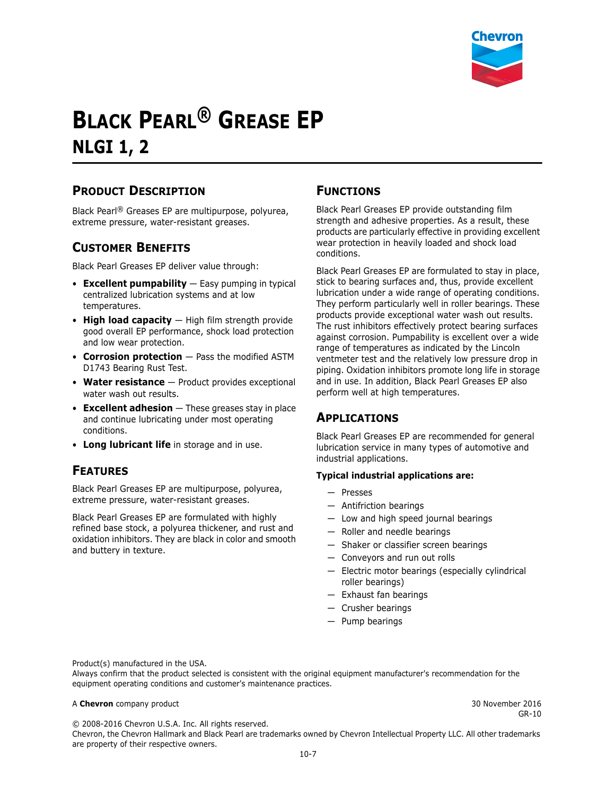

# **BLACK PEARL® GREASE EP NLGI 1, 2**

## **PRODUCT DESCRIPTION**

Black Pearl® Greases EP are multipurpose, polyurea, extreme pressure, water-resistant greases.

## **CUSTOMER BENEFITS**

Black Pearl Greases EP deliver value through:

- **Excellent pumpability** Easy pumping in typical centralized lubrication systems and at low temperatures.
- **High load capacity**  High film strength provide good overall EP performance, shock load protection and low wear protection.
- **Corrosion protection** Pass the modified ASTM D1743 Bearing Rust Test.
- **Water resistance**  Product provides exceptional water wash out results.
- **Excellent adhesion**  These greases stay in place and continue lubricating under most operating conditions.
- **Long lubricant life** in storage and in use.

### **FEATURES**

Black Pearl Greases EP are multipurpose, polyurea, extreme pressure, water-resistant greases.

Black Pearl Greases EP are formulated with highly refined base stock, a polyurea thickener, and rust and oxidation inhibitors. They are black in color and smooth and buttery in texture.

#### **FUNCTIONS**

Black Pearl Greases EP provide outstanding film strength and adhesive properties. As a result, these products are particularly effective in providing excellent wear protection in heavily loaded and shock load conditions.

Black Pearl Greases EP are formulated to stay in place, stick to bearing surfaces and, thus, provide excellent lubrication under a wide range of operating conditions. They perform particularly well in roller bearings. These products provide exceptional water wash out results. The rust inhibitors effectively protect bearing surfaces against corrosion. Pumpability is excellent over a wide range of temperatures as indicated by the Lincoln ventmeter test and the relatively low pressure drop in piping. Oxidation inhibitors promote long life in storage and in use. In addition, Black Pearl Greases EP also perform well at high temperatures.

### **APPLICATIONS**

Black Pearl Greases EP are recommended for general lubrication service in many types of automotive and industrial applications.

#### **Typical industrial applications are:**

- Presses
- Antifriction bearings
- Low and high speed journal bearings
- Roller and needle bearings
- Shaker or classifier screen bearings
- Conveyors and run out rolls
- Electric motor bearings (especially cylindrical roller bearings)
- Exhaust fan bearings
- Crusher bearings
- Pump bearings

Product(s) manufactured in the USA.

Always confirm that the product selected is consistent with the original equipment manufacturer's recommendation for the equipment operating conditions and customer's maintenance practices.

#### A **Chevron** company product **30 November 2016** 30 November 2016

GR-10

© 2008-2016 Chevron U.S.A. Inc. All rights reserved.

Chevron, the Chevron Hallmark and Black Pearl are trademarks owned by Chevron Intellectual Property LLC. All other trademarks are property of their respective owners.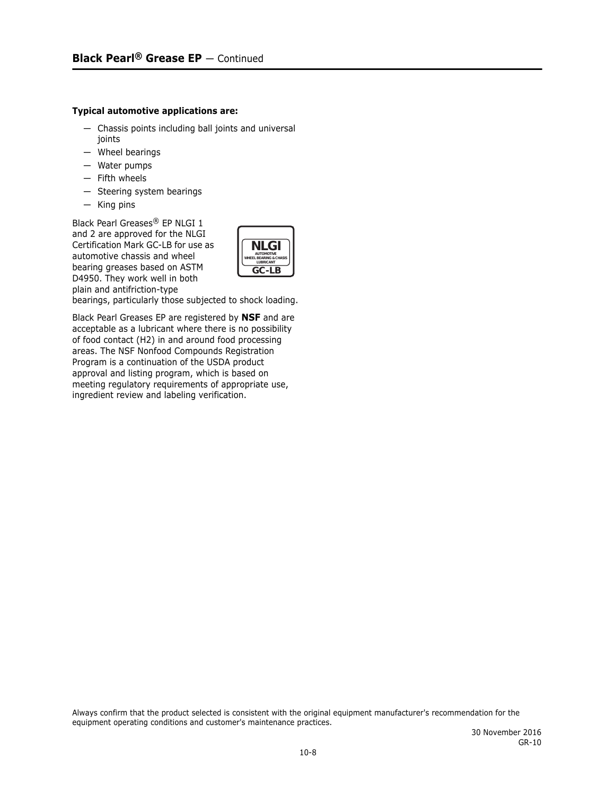#### **Typical automotive applications are:**

- Chassis points including ball joints and universal joints
- Wheel bearings
- Water pumps
- Fifth wheels
- Steering system bearings
- King pins

Black Pearl Greases® EP NLGI 1 and 2 are approved for the NLGI Certification Mark GC-LB for use as automotive chassis and wheel bearing greases based on ASTM D4950. They work well in both plain and antifriction-type



bearings, particularly those subjected to shock loading.

Black Pearl Greases EP are registered by **NSF** and are acceptable as a lubricant where there is no possibility of food contact (H2) in and around food processing areas. The NSF Nonfood Compounds Registration Program is a continuation of the USDA product approval and listing program, which is based on meeting regulatory requirements of appropriate use, ingredient review and labeling verification.

Always confirm that the product selected is consistent with the original equipment manufacturer's recommendation for the equipment operating conditions and customer's maintenance practices.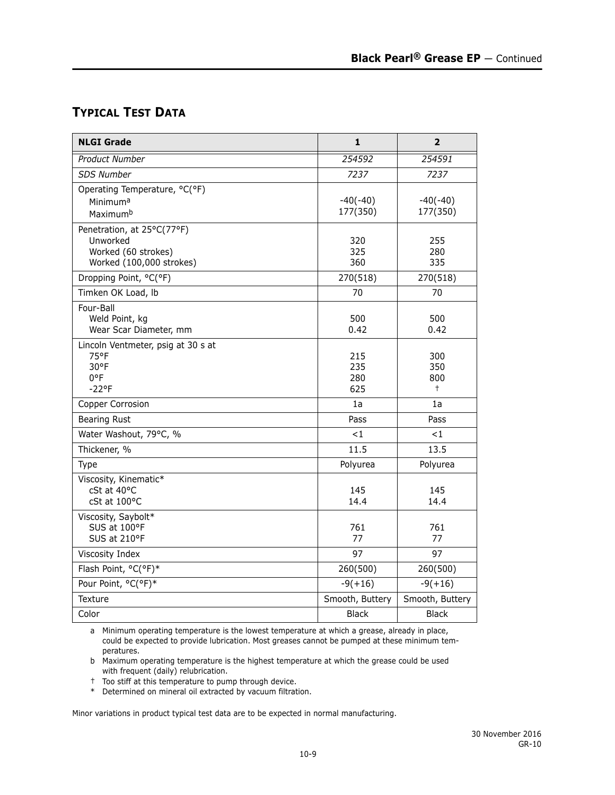## **TYPICAL TEST DATA**

| <b>NLGI Grade</b>                                                                         | $\mathbf{1}$             | $\overline{2}$            |
|-------------------------------------------------------------------------------------------|--------------------------|---------------------------|
| <b>Product Number</b>                                                                     | 254592                   | 254591                    |
| <b>SDS Number</b>                                                                         | 7237                     | 7237                      |
| Operating Temperature, °C(°F)<br>Minimuma<br>Maximumb                                     | $-40(-40)$<br>177(350)   | $-40(-40)$<br>177(350)    |
| Penetration, at 25°C(77°F)<br>Unworked<br>Worked (60 strokes)<br>Worked (100,000 strokes) | 320<br>325<br>360        | 255<br>280<br>335         |
| Dropping Point, °C(°F)                                                                    | 270(518)                 | 270(518)                  |
| Timken OK Load, Ib                                                                        | 70                       | 70                        |
| Four-Ball<br>Weld Point, kg<br>Wear Scar Diameter, mm                                     | 500<br>0.42              | 500<br>0.42               |
| Lincoln Ventmeter, psig at 30 s at<br>75°F<br>30°F<br>0°F<br>$-22$ °F                     | 215<br>235<br>280<br>625 | 300<br>350<br>800<br>$^+$ |
| Copper Corrosion                                                                          | 1a                       | 1a                        |
| <b>Bearing Rust</b>                                                                       | Pass                     | Pass                      |
| Water Washout, 79°C, %                                                                    | $<$ 1                    | $\leq 1$                  |
| Thickener, %                                                                              | 11.5                     | 13.5                      |
| Type                                                                                      | Polyurea                 | Polyurea                  |
| Viscosity, Kinematic*<br>cSt at 40°C<br>cSt at 100°C                                      | 145<br>14.4              | 145<br>14.4               |
| Viscosity, Saybolt*<br>SUS at 100°F<br>SUS at 210°F                                       | 761<br>77                | 761<br>77                 |
| Viscosity Index                                                                           | 97                       | 97                        |
| Flash Point, °C(°F)*                                                                      | 260(500)                 | 260(500)                  |
| Pour Point, °C(°F)*                                                                       | $-9(+16)$                | $-9(+16)$                 |
| Texture                                                                                   | Smooth, Buttery          | Smooth, Buttery           |
| Color                                                                                     | <b>Black</b>             | <b>Black</b>              |

a Minimum operating temperature is the lowest temperature at which a grease, already in place, could be expected to provide lubrication. Most greases cannot be pumped at these minimum temperatures.

b Maximum operating temperature is the highest temperature at which the grease could be used with frequent (daily) relubrication.

† Too stiff at this temperature to pump through device.

\* Determined on mineral oil extracted by vacuum filtration.

Minor variations in product typical test data are to be expected in normal manufacturing.